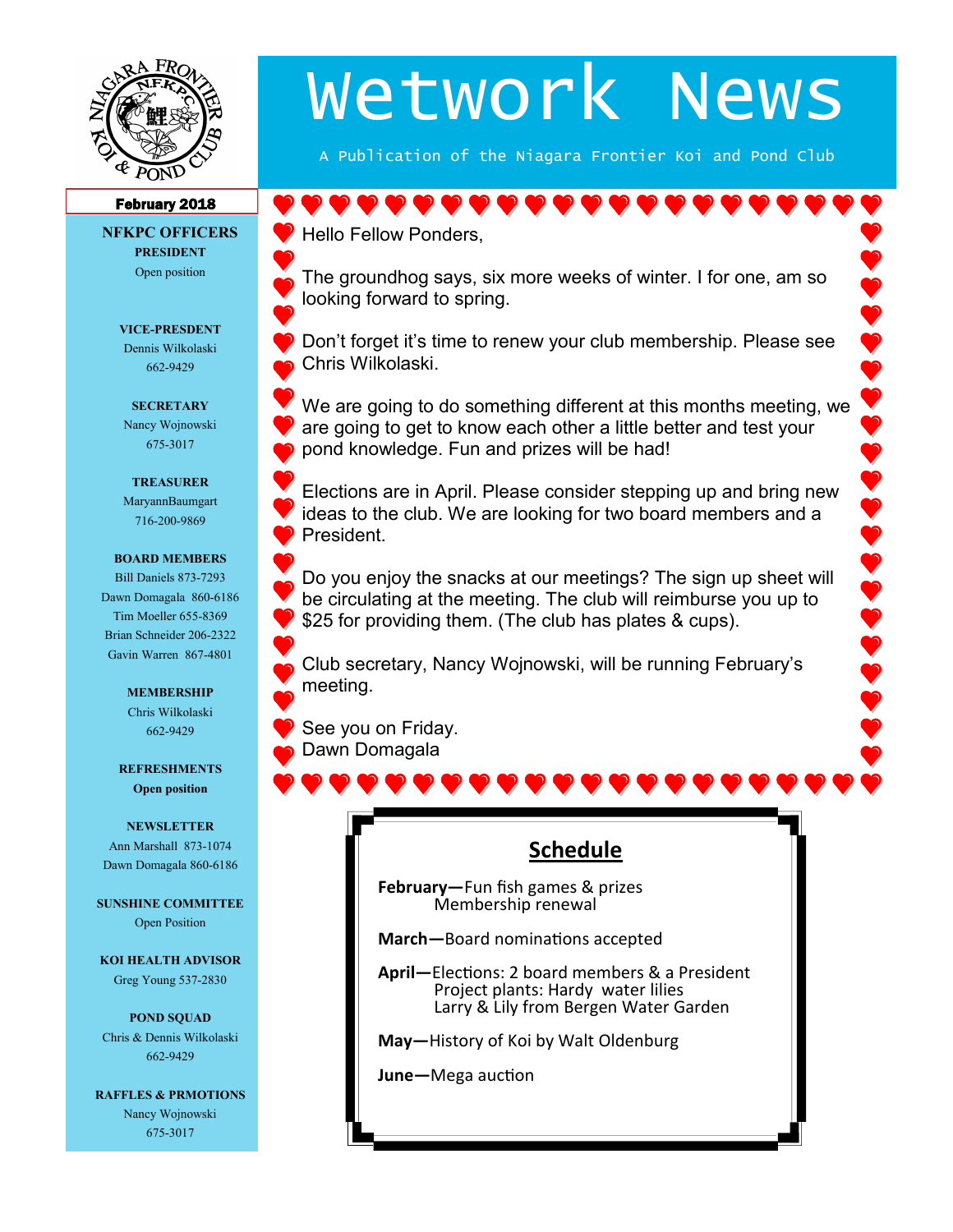

# Wetwork News

A Publication of the Niagara Frontier Koi and Pond Club

#### February 2018

**NFKPC OFFICERS PRESIDENT** Open position

## **VICE-PRESDENT**

Dennis Wilkolaski 662-9429

**SECRETARY** Nancy Wojnowski 675-3017

#### **TREASURER**

MaryannBaumgart 716-200-9869

#### **BOARD MEMBERS**

Bill Daniels 873-7293 Dawn Domagala 860-6186 Tim Moeller 655-8369 Brian Schneider 206-2322 Gavin Warren 867-4801

#### **MEMBERSHIP** Chris Wilkolaski 662-9429

**REFRESHMENTS Open position**

**NEWSLETTER** Ann Marshall 873-1074 Dawn Domagala 860-6186

**SUNSHINE COMMITTEE** Open Position

**KOI HEALTH ADVISOR** Greg Young 537-2830

**POND SQUAD** Chris & Dennis Wilkolaski 662-9429

**RAFFLES & PRMOTIONS** Nancy Wojnowski 675-3017

# Hello Fellow Ponders, The groundhog says, six more weeks of winter. I for one, am so looking forward to spring.

Don't forget it's time to renew your club membership. Please see Chris Wilkolaski.

We are going to do something different at this months meeting, we are going to get to know each other a little better and test your pond knowledge. Fun and prizes will be had!

Elections are in April. Please consider stepping up and bring new ideas to the club. We are looking for two board members and a President.

Do you enjoy the snacks at our meetings? The sign up sheet will be circulating at the meeting. The club will reimburse you up to \$25 for providing them. (The club has plates & cups).

Club secretary, Nancy Wojnowski, will be running February's meeting.

See you on Friday. Dawn Domagala



**February—**Fun fish games & prizes Membership renewal

**March—**Board nominations accepted

**April—**Elections: 2 board members & a President Project plants: Hardy water lilies Larry & Lily from Bergen Water Garden

**May—**History of Koi by Walt Oldenburg

**June—**Mega auction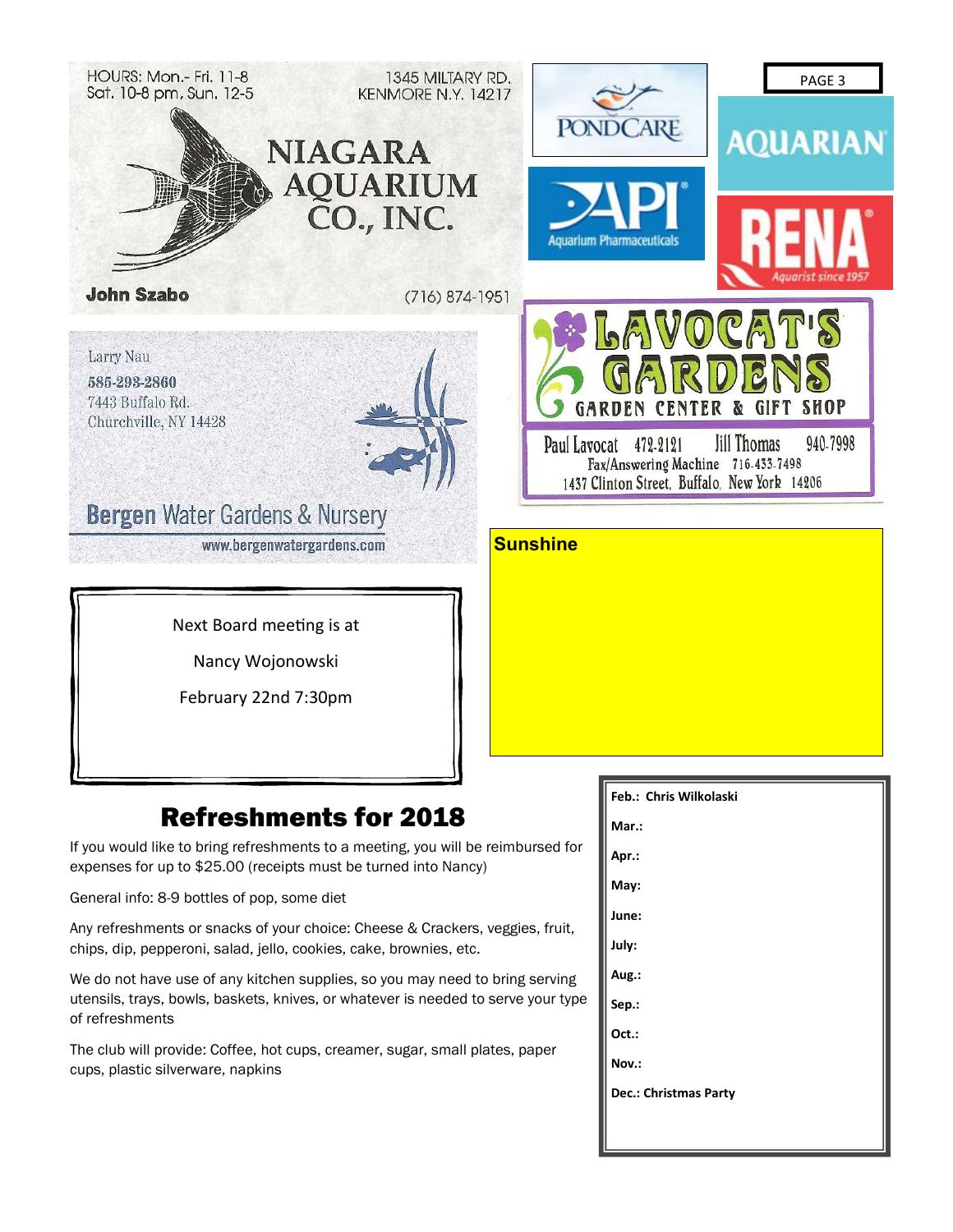

**June: July: Aug.: Sep.: Oct.: Nov.:** 

**Dec.: Christmas Party**

General info: 8-9 bottles of pop, some diet

Any refreshments or snacks of your choice: Cheese & Crackers, veggies, fruit, chips, dip, pepperoni, salad, jello, cookies, cake, brownies, etc.

We do not have use of any kitchen supplies, so you may need to bring serving utensils, trays, bowls, baskets, knives, or whatever is needed to serve your type of refreshments

The club will provide: Coffee, hot cups, creamer, sugar, small plates, paper cups, plastic silverware, napkins